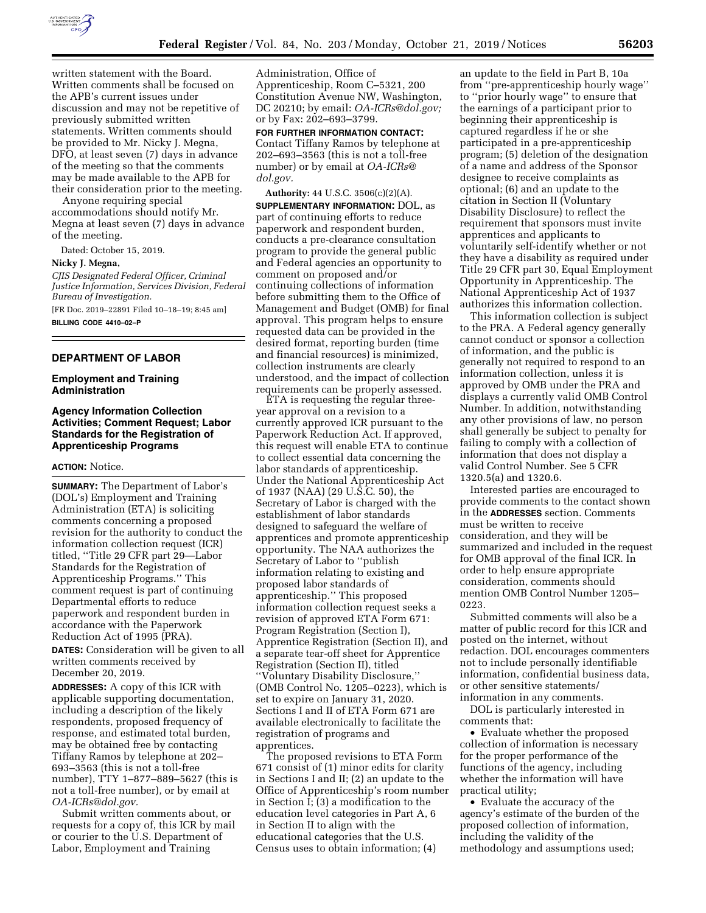

written statement with the Board. Written comments shall be focused on the APB's current issues under discussion and may not be repetitive of previously submitted written statements. Written comments should be provided to Mr. Nicky J. Megna, DFO, at least seven (7) days in advance of the meeting so that the comments may be made available to the APB for their consideration prior to the meeting.

Anyone requiring special accommodations should notify Mr. Megna at least seven (7) days in advance of the meeting.

Dated: October 15, 2019.

#### **Nicky J. Megna,**

*CJIS Designated Federal Officer, Criminal Justice Information, Services Division, Federal Bureau of Investigation.* 

[FR Doc. 2019–22891 Filed 10–18–19; 8:45 am] **BILLING CODE 4410–02–P** 

#### **DEPARTMENT OF LABOR**

# **Employment and Training Administration**

# **Agency Information Collection Activities; Comment Request; Labor Standards for the Registration of Apprenticeship Programs**

#### **ACTION:** Notice.

**SUMMARY:** The Department of Labor's (DOL's) Employment and Training Administration (ETA) is soliciting comments concerning a proposed revision for the authority to conduct the information collection request (ICR) titled, ''Title 29 CFR part 29—Labor Standards for the Registration of Apprenticeship Programs.'' This comment request is part of continuing Departmental efforts to reduce paperwork and respondent burden in accordance with the Paperwork Reduction Act of 1995 (PRA).

**DATES:** Consideration will be given to all written comments received by December 20, 2019.

**ADDRESSES:** A copy of this ICR with applicable supporting documentation, including a description of the likely respondents, proposed frequency of response, and estimated total burden, may be obtained free by contacting Tiffany Ramos by telephone at 202– 693–3563 (this is not a toll-free number), TTY 1–877–889–5627 (this is not a toll-free number), or by email at *[OA-ICRs@dol.gov.](mailto:OA-ICRs@dol.gov)* 

Submit written comments about, or requests for a copy of, this ICR by mail or courier to the U.S. Department of Labor, Employment and Training

Administration, Office of Apprenticeship, Room C–5321, 200 Constitution Avenue NW, Washington, DC 20210; by email: *[OA-ICRs@dol.gov;](mailto:OA-ICRs@dol.gov)*  or by Fax: 202–693–3799.

**FOR FURTHER INFORMATION CONTACT:**  Contact Tiffany Ramos by telephone at 202–693–3563 (this is not a toll-free number) or by email at *[OA-ICRs@](mailto:OA-ICRs@dol.gov) [dol.gov.](mailto:OA-ICRs@dol.gov)* 

**Authority:** 44 U.S.C. 3506(c)(2)(A). **SUPPLEMENTARY INFORMATION:** DOL, as part of continuing efforts to reduce paperwork and respondent burden, conducts a pre-clearance consultation program to provide the general public and Federal agencies an opportunity to comment on proposed and/or continuing collections of information before submitting them to the Office of Management and Budget (OMB) for final approval. This program helps to ensure requested data can be provided in the desired format, reporting burden (time and financial resources) is minimized, collection instruments are clearly understood, and the impact of collection requirements can be properly assessed.

ETA is requesting the regular threeyear approval on a revision to a currently approved ICR pursuant to the Paperwork Reduction Act. If approved, this request will enable ETA to continue to collect essential data concerning the labor standards of apprenticeship. Under the National Apprenticeship Act of 1937 (NAA) (29 U.S.C. 50), the Secretary of Labor is charged with the establishment of labor standards designed to safeguard the welfare of apprentices and promote apprenticeship opportunity. The NAA authorizes the Secretary of Labor to ''publish information relating to existing and proposed labor standards of apprenticeship.'' This proposed information collection request seeks a revision of approved ETA Form 671: Program Registration (Section I), Apprentice Registration (Section II), and a separate tear-off sheet for Apprentice Registration (Section II), titled ''Voluntary Disability Disclosure,'' (OMB Control No. 1205–0223), which is set to expire on January 31, 2020. Sections I and II of ETA Form 671 are available electronically to facilitate the registration of programs and apprentices.

The proposed revisions to ETA Form 671 consist of (1) minor edits for clarity in Sections I and II; (2) an update to the Office of Apprenticeship's room number in Section I; (3) a modification to the education level categories in Part A, 6 in Section II to align with the educational categories that the U.S. Census uses to obtain information; (4)

an update to the field in Part B, 10a from ''pre-apprenticeship hourly wage'' to ''prior hourly wage'' to ensure that the earnings of a participant prior to beginning their apprenticeship is captured regardless if he or she participated in a pre-apprenticeship program; (5) deletion of the designation of a name and address of the Sponsor designee to receive complaints as optional; (6) and an update to the citation in Section II (Voluntary Disability Disclosure) to reflect the requirement that sponsors must invite apprentices and applicants to voluntarily self-identify whether or not they have a disability as required under Title 29 CFR part 30, Equal Employment Opportunity in Apprenticeship. The National Apprenticeship Act of 1937 authorizes this information collection.

This information collection is subject to the PRA. A Federal agency generally cannot conduct or sponsor a collection of information, and the public is generally not required to respond to an information collection, unless it is approved by OMB under the PRA and displays a currently valid OMB Control Number. In addition, notwithstanding any other provisions of law, no person shall generally be subject to penalty for failing to comply with a collection of information that does not display a valid Control Number. See 5 CFR 1320.5(a) and 1320.6.

Interested parties are encouraged to provide comments to the contact shown in the **ADDRESSES** section. Comments must be written to receive consideration, and they will be summarized and included in the request for OMB approval of the final ICR. In order to help ensure appropriate consideration, comments should mention OMB Control Number 1205– 0223.

Submitted comments will also be a matter of public record for this ICR and posted on the internet, without redaction. DOL encourages commenters not to include personally identifiable information, confidential business data, or other sensitive statements/ information in any comments.

DOL is particularly interested in comments that:

• Evaluate whether the proposed collection of information is necessary for the proper performance of the functions of the agency, including whether the information will have practical utility;

• Evaluate the accuracy of the agency's estimate of the burden of the proposed collection of information, including the validity of the methodology and assumptions used;